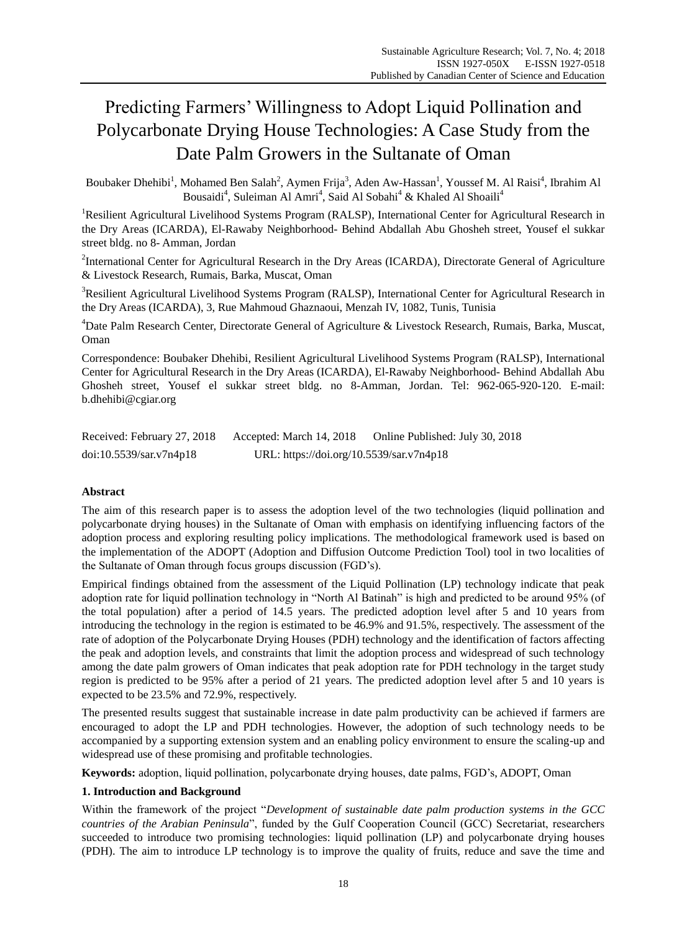# Predicting Farmers' Willingness to Adopt Liquid Pollination and Polycarbonate Drying House Technologies: A Case Study from the Date Palm Growers in the Sultanate of Oman

Boubaker Dhehibi<sup>1</sup>, Mohamed Ben Salah<sup>2</sup>, Aymen Frija<sup>3</sup>, Aden Aw-Hassan<sup>1</sup>, Youssef M. Al Raisi<sup>4</sup>, Ibrahim Al Bousaidi<sup>4</sup>, Suleiman Al Amri<sup>4</sup>, Said Al Sobahi<sup>4</sup> & Khaled Al Shoaili<sup>4</sup>

<sup>1</sup>Resilient Agricultural Livelihood Systems Program (RALSP), International Center for Agricultural Research in the Dry Areas (ICARDA), El-Rawaby Neighborhood- Behind Abdallah Abu Ghosheh street, Yousef el sukkar street bldg. no 8- Amman, Jordan

<sup>2</sup>International Center for Agricultural Research in the Dry Areas (ICARDA), Directorate General of Agriculture & Livestock Research, Rumais, Barka, Muscat, Oman

<sup>3</sup>Resilient Agricultural Livelihood Systems Program (RALSP), International Center for Agricultural Research in the Dry Areas (ICARDA), 3, Rue Mahmoud Ghaznaoui, Menzah IV, 1082, Tunis, Tunisia

<sup>4</sup>Date Palm Research Center, Directorate General of Agriculture & Livestock Research, Rumais, Barka, Muscat, Oman

Correspondence: Boubaker Dhehibi, Resilient Agricultural Livelihood Systems Program (RALSP), International Center for Agricultural Research in the Dry Areas (ICARDA), El-Rawaby Neighborhood- Behind Abdallah Abu Ghosheh street, Yousef el sukkar street bldg. no 8-Amman, Jordan. Tel: 962-065-920-120. E-mail: b.dhehibi@cgiar.org

| Received: February 27, 2018 | Accepted: March 14, 2018                 | Online Published: July 30, 2018 |
|-----------------------------|------------------------------------------|---------------------------------|
| doi:10.5539/sar.v7n4p18     | URL: https://doi.org/10.5539/sar.v7n4p18 |                                 |

# **Abstract**

The aim of this research paper is to assess the adoption level of the two technologies (liquid pollination and polycarbonate drying houses) in the Sultanate of Oman with emphasis on identifying influencing factors of the adoption process and exploring resulting policy implications. The methodological framework used is based on the implementation of the ADOPT (Adoption and Diffusion Outcome Prediction Tool) tool in two localities of the Sultanate of Oman through focus groups discussion (FGD's).

Empirical findings obtained from the assessment of the Liquid Pollination (LP) technology indicate that peak adoption rate for liquid pollination technology in "North Al Batinah" is high and predicted to be around 95% (of the total population) after a period of 14.5 years. The predicted adoption level after 5 and 10 years from introducing the technology in the region is estimated to be 46.9% and 91.5%, respectively. The assessment of the rate of adoption of the Polycarbonate Drying Houses (PDH) technology and the identification of factors affecting the peak and adoption levels, and constraints that limit the adoption process and widespread of such technology among the date palm growers of Oman indicates that peak adoption rate for PDH technology in the target study region is predicted to be 95% after a period of 21 years. The predicted adoption level after 5 and 10 years is expected to be 23.5% and 72.9%, respectively.

The presented results suggest that sustainable increase in date palm productivity can be achieved if farmers are encouraged to adopt the LP and PDH technologies. However, the adoption of such technology needs to be accompanied by a supporting extension system and an enabling policy environment to ensure the scaling-up and widespread use of these promising and profitable technologies.

**Keywords:** adoption, liquid pollination, polycarbonate drying houses, date palms, FGD's, ADOPT, Oman

## **1. Introduction and Background**

Within the framework of the project "*Development of sustainable date palm production systems in the GCC countries of the Arabian Peninsula*", funded by the Gulf Cooperation Council (GCC) Secretariat, researchers succeeded to introduce two promising technologies: liquid pollination (LP) and polycarbonate drying houses (PDH). The aim to introduce LP technology is to improve the quality of fruits, reduce and save the time and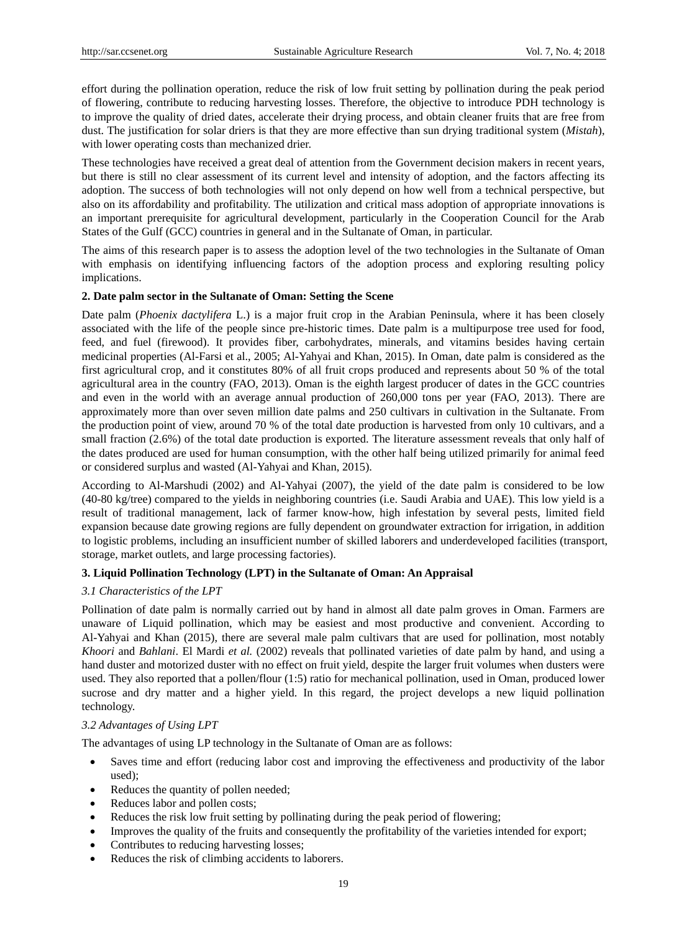effort during the pollination operation, reduce the risk of low fruit setting by pollination during the peak period of flowering, contribute to reducing harvesting losses. Therefore, the objective to introduce PDH technology is to improve the quality of dried dates, accelerate their drying process, and obtain cleaner fruits that are free from dust. The justification for solar driers is that they are more effective than sun drying traditional system (*Mistah*), with lower operating costs than mechanized drier.

These technologies have received a great deal of attention from the Government decision makers in recent years, but there is still no clear assessment of its current level and intensity of adoption, and the factors affecting its adoption. The success of both technologies will not only depend on how well from a technical perspective, but also on its affordability and profitability. The utilization and critical mass adoption of appropriate innovations is an important prerequisite for agricultural development, particularly in the Cooperation Council for the Arab States of the Gulf (GCC) countries in general and in the Sultanate of Oman, in particular.

The aims of this research paper is to assess the adoption level of the two technologies in the Sultanate of Oman with emphasis on identifying influencing factors of the adoption process and exploring resulting policy implications.

## **2. Date palm sector in the Sultanate of Oman: Setting the Scene**

Date palm (*Phoenix dactylifera* L.) is a major fruit crop in the Arabian Peninsula, where it has been closely associated with the life of the people since pre-historic times. Date palm is a multipurpose tree used for food, feed, and fuel (firewood). It provides fiber, carbohydrates, minerals, and vitamins besides having certain medicinal properties (Al-Farsi et al., 2005; Al-Yahyai and Khan, 2015). In Oman, date palm is considered as the first agricultural crop, and it constitutes 80% of all fruit crops produced and represents about 50 % of the total agricultural area in the country (FAO, 2013). Oman is the eighth largest producer of dates in the GCC countries and even in the world with an average annual production of 260,000 tons per year (FAO, 2013). There are approximately more than over seven million date palms and 250 cultivars in cultivation in the Sultanate. From the production point of view, around 70 % of the total date production is harvested from only 10 cultivars, and a small fraction (2.6%) of the total date production is exported. The literature assessment reveals that only half of the dates produced are used for human consumption, with the other half being utilized primarily for animal feed or considered surplus and wasted (Al-Yahyai and Khan, 2015).

According to Al-Marshudi (2002) and Al-Yahyai (2007), the yield of the date palm is considered to be low (40-80 kg/tree) compared to the yields in neighboring countries (i.e. Saudi Arabia and UAE). This low yield is a result of traditional management, lack of farmer know-how, high infestation by several pests, limited field expansion because date growing regions are fully dependent on groundwater extraction for irrigation, in addition to logistic problems, including an insufficient number of skilled laborers and underdeveloped facilities (transport, storage, market outlets, and large processing factories).

## **3. Liquid Pollination Technology (LPT) in the Sultanate of Oman: An Appraisal**

## *3.1 Characteristics of the LPT*

Pollination of date palm is normally carried out by hand in almost all date palm groves in Oman. Farmers are unaware of Liquid pollination, which may be easiest and most productive and convenient. According to Al-Yahyai and Khan (2015), there are several male palm cultivars that are used for pollination, most notably *Khoori* and *Bahlani*. El Mardi *et al.* (2002) reveals that pollinated varieties of date palm by hand, and using a hand duster and motorized duster with no effect on fruit yield, despite the larger fruit volumes when dusters were used. They also reported that a pollen/flour (1:5) ratio for mechanical pollination, used in Oman, produced lower sucrose and dry matter and a higher yield. In this regard, the project develops a new liquid pollination technology.

## *3.2 Advantages of Using LPT*

The advantages of using LP technology in the Sultanate of Oman are as follows:

- Saves time and effort (reducing labor cost and improving the effectiveness and productivity of the labor used);
- Reduces the quantity of pollen needed;
- Reduces labor and pollen costs;
- Reduces the risk low fruit setting by pollinating during the peak period of flowering;
- Improves the quality of the fruits and consequently the profitability of the varieties intended for export;
- Contributes to reducing harvesting losses;
- Reduces the risk of climbing accidents to laborers.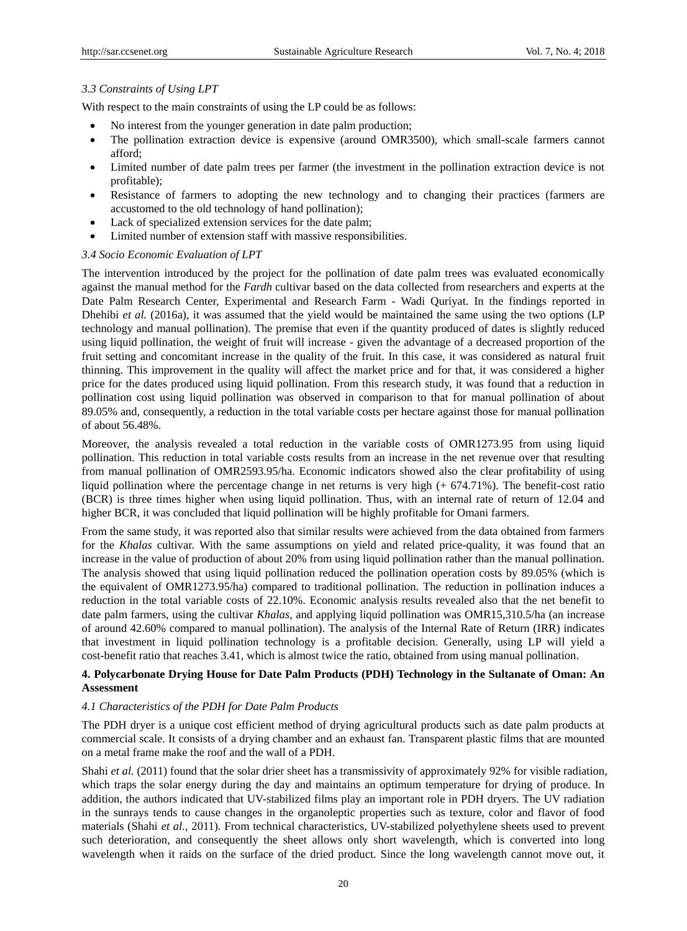### *3.3 Constraints of Using LPT*

With respect to the main constraints of using the LP could be as follows:

- No interest from the younger generation in date palm production;
- The pollination extraction device is expensive (around OMR3500), which small-scale farmers cannot afford;
- Limited number of date palm trees per farmer (the investment in the pollination extraction device is not profitable);
- Resistance of farmers to adopting the new technology and to changing their practices (farmers are accustomed to the old technology of hand pollination);
- Lack of specialized extension services for the date palm;
- Limited number of extension staff with massive responsibilities.

## *3.4 Socio Economic Evaluation of LPT*

The intervention introduced by the project for the pollination of date palm trees was evaluated economically against the manual method for the *Fardh* cultivar based on the data collected from researchers and experts at the Date Palm Research Center, Experimental and Research Farm - Wadi Quriyat. In the findings reported in Dhehibi *et al.* (2016a), it was assumed that the yield would be maintained the same using the two options (LP technology and manual pollination). The premise that even if the quantity produced of dates is slightly reduced using liquid pollination, the weight of fruit will increase - given the advantage of a decreased proportion of the fruit setting and concomitant increase in the quality of the fruit. In this case, it was considered as natural fruit thinning. This improvement in the quality will affect the market price and for that, it was considered a higher price for the dates produced using liquid pollination. From this research study, it was found that a reduction in pollination cost using liquid pollination was observed in comparison to that for manual pollination of about 89.05% and, consequently, a reduction in the total variable costs per hectare against those for manual pollination of about 56.48%.

Moreover, the analysis revealed a total reduction in the variable costs of OMR1273.95 from using liquid pollination. This reduction in total variable costs results from an increase in the net revenue over that resulting from manual pollination of OMR2593.95/ha. Economic indicators showed also the clear profitability of using liquid pollination where the percentage change in net returns is very high (+ 674.71%). The benefit-cost ratio (BCR) is three times higher when using liquid pollination. Thus, with an internal rate of return of 12.04 and higher BCR, it was concluded that liquid pollination will be highly profitable for Omani farmers.

From the same study, it was reported also that similar results were achieved from the data obtained from farmers for the *Khalas* cultivar. With the same assumptions on yield and related price-quality, it was found that an increase in the value of production of about 20% from using liquid pollination rather than the manual pollination. The analysis showed that using liquid pollination reduced the pollination operation costs by 89.05% (which is the equivalent of OMR1273.95/ha) compared to traditional pollination. The reduction in pollination induces a reduction in the total variable costs of 22.10%. Economic analysis results revealed also that the net benefit to date palm farmers, using the cultivar *Khalas*, and applying liquid pollination was OMR15,310.5/ha (an increase of around 42.60% compared to manual pollination). The analysis of the Internal Rate of Return (IRR) indicates that investment in liquid pollination technology is a profitable decision. Generally, using LP will yield a cost-benefit ratio that reaches 3.41, which is almost twice the ratio, obtained from using manual pollination.

## **4. Polycarbonate Drying House for Date Palm Products (PDH) Technology in the Sultanate of Oman: An Assessment**

#### *4.1 Characteristics of the PDH for Date Palm Products*

The PDH dryer is a unique cost efficient method of drying agricultural products such as date palm products at commercial scale. It consists of a drying chamber and an exhaust fan. Transparent plastic films that are mounted on a metal frame make the roof and the wall of a PDH.

Shahi *et al.* (2011) found that the solar drier sheet has a transmissivity of approximately 92% for visible radiation, which traps the solar energy during the day and maintains an optimum temperature for drying of produce. In addition, the authors indicated that UV-stabilized films play an important role in PDH dryers. The UV radiation in the sunrays tends to cause changes in the organoleptic properties such as texture, color and flavor of food materials (Shahi *et al.,* 2011). From technical characteristics, UV-stabilized polyethylene sheets used to prevent such deterioration, and consequently the sheet allows only short wavelength, which is converted into long wavelength when it raids on the surface of the dried product. Since the long wavelength cannot move out, it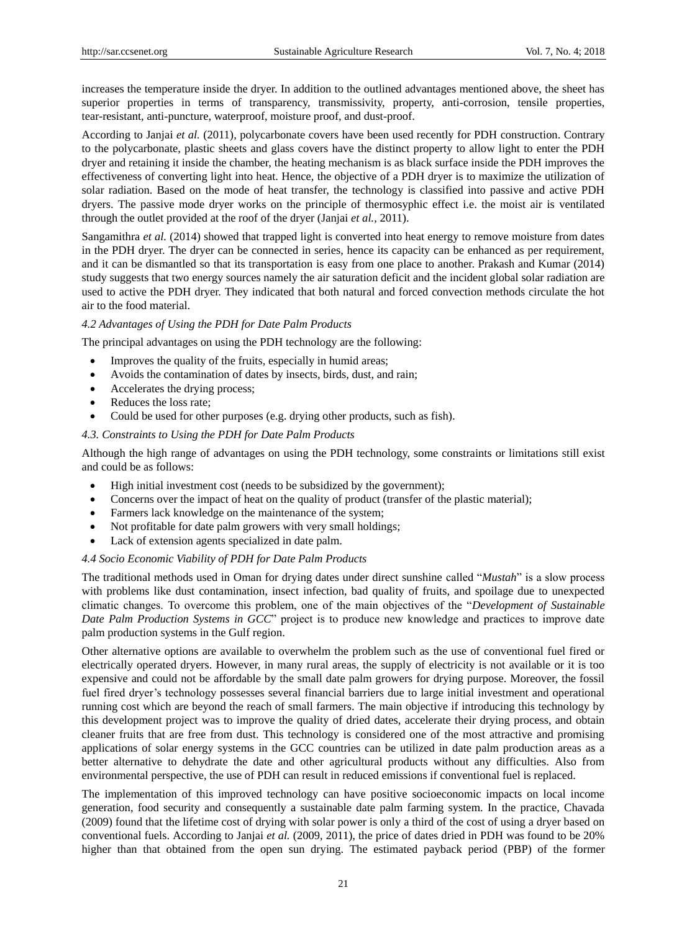increases the temperature inside the dryer. In addition to the outlined advantages mentioned above, the sheet has superior properties in terms of transparency, transmissivity, property, anti-corrosion, tensile properties, tear-resistant, anti-puncture, waterproof, moisture proof, and dust-proof.

According to Janjai *et al.* (2011), polycarbonate covers have been used recently for PDH construction. Contrary to the polycarbonate, plastic sheets and glass covers have the distinct property to allow light to enter the PDH dryer and retaining it inside the chamber, the heating mechanism is as black surface inside the PDH improves the effectiveness of converting light into heat. Hence, the objective of a PDH dryer is to maximize the utilization of solar radiation. Based on the mode of heat transfer, the technology is classified into passive and active PDH dryers. The passive mode dryer works on the principle of thermosyphic effect i.e. the moist air is ventilated through the outlet provided at the roof of the dryer (Janjai *et al.,* 2011).

Sangamithra *et al.* (2014) showed that trapped light is converted into heat energy to remove moisture from dates in the PDH dryer. The dryer can be connected in series, hence its capacity can be enhanced as per requirement, and it can be dismantled so that its transportation is easy from one place to another. Prakash and Kumar (2014) study suggests that two energy sources namely the air saturation deficit and the incident global solar radiation are used to active the PDH dryer. They indicated that both natural and forced convection methods circulate the hot air to the food material.

## *4.2 Advantages of Using the PDH for Date Palm Products*

The principal advantages on using the PDH technology are the following:

- Improves the quality of the fruits, especially in humid areas;
- Avoids the contamination of dates by insects, birds, dust, and rain;
- Accelerates the drying process;
- Reduces the loss rate;
- Could be used for other purposes (e.g. drying other products, such as fish).

## *4.3. Constraints to Using the PDH for Date Palm Products*

Although the high range of advantages on using the PDH technology, some constraints or limitations still exist and could be as follows:

- High initial investment cost (needs to be subsidized by the government);
- Concerns over the impact of heat on the quality of product (transfer of the plastic material);
- Farmers lack knowledge on the maintenance of the system;
- Not profitable for date palm growers with very small holdings;
- Lack of extension agents specialized in date palm.

## *4.4 Socio Economic Viability of PDH for Date Palm Products*

The traditional methods used in Oman for drying dates under direct sunshine called "*Mustah*" is a slow process with problems like dust contamination, insect infection, bad quality of fruits, and spoilage due to unexpected climatic changes. To overcome this problem, one of the main objectives of the "*Development of Sustainable Date Palm Production Systems in GCC*" project is to produce new knowledge and practices to improve date palm production systems in the Gulf region.

Other alternative options are available to overwhelm the problem such as the use of conventional fuel fired or electrically operated dryers. However, in many rural areas, the supply of electricity is not available or it is too expensive and could not be affordable by the small date palm growers for drying purpose. Moreover, the fossil fuel fired dryer's technology possesses several financial barriers due to large initial investment and operational running cost which are beyond the reach of small farmers. The main objective if introducing this technology by this development project was to improve the quality of dried dates, accelerate their drying process, and obtain cleaner fruits that are free from dust. This technology is considered one of the most attractive and promising applications of solar energy systems in the GCC countries can be utilized in date palm production areas as a better alternative to dehydrate the date and other agricultural products without any difficulties. Also from environmental perspective, the use of PDH can result in reduced emissions if conventional fuel is replaced.

The implementation of this improved technology can have positive socioeconomic impacts on local income generation, food security and consequently a sustainable date palm farming system. In the practice, Chavada (2009) found that the lifetime cost of drying with solar power is only a third of the cost of using a dryer based on conventional fuels. According to Janjai *et al.* (2009, 2011), the price of dates dried in PDH was found to be 20% higher than that obtained from the open sun drying. The estimated payback period (PBP) of the former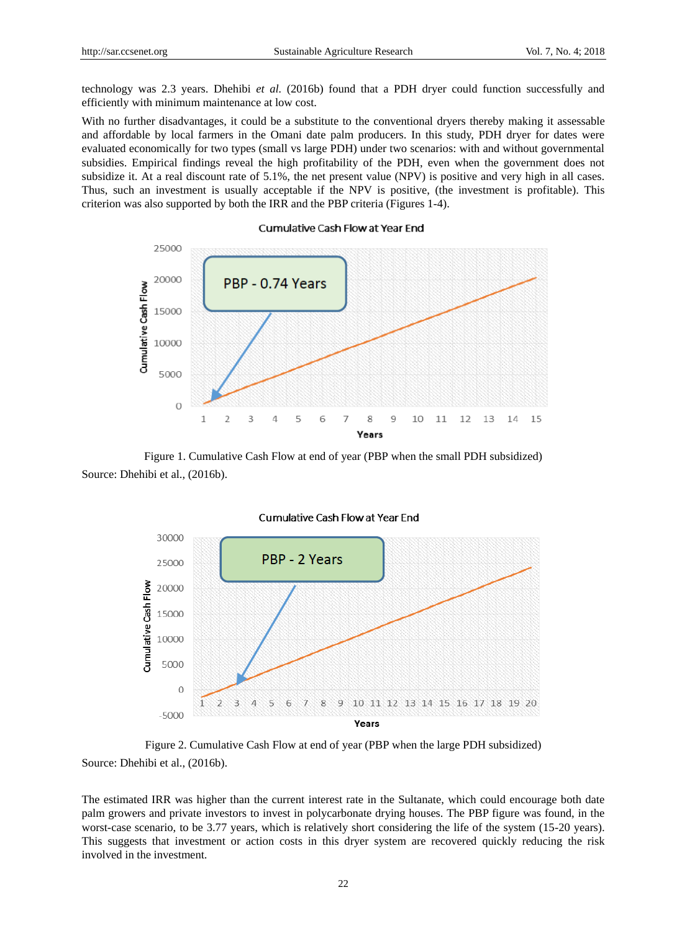technology was 2.3 years. Dhehibi *et al.* (2016b) found that a PDH dryer could function successfully and efficiently with minimum maintenance at low cost.

With no further disadvantages, it could be a substitute to the conventional dryers thereby making it assessable and affordable by local farmers in the Omani date palm producers. In this study, PDH dryer for dates were evaluated economically for two types (small vs large PDH) under two scenarios: with and without governmental subsidies. Empirical findings reveal the high profitability of the PDH, even when the government does not subsidize it. At a real discount rate of 5.1%, the net present value (NPV) is positive and very high in all cases. Thus, such an investment is usually acceptable if the NPV is positive, (the investment is profitable). This criterion was also supported by both the IRR and the PBP criteria (Figures 1-4).



Figure 1. Cumulative Cash Flow at end of year (PBP when the small PDH subsidized) Source: Dhehibi et al., (2016b).



Figure 2. Cumulative Cash Flow at end of year (PBP when the large PDH subsidized) Source: Dhehibi et al., (2016b).

The estimated IRR was higher than the current interest rate in the Sultanate, which could encourage both date palm growers and private investors to invest in polycarbonate drying houses. The PBP figure was found, in the worst-case scenario, to be 3.77 years, which is relatively short considering the life of the system (15-20 years). This suggests that investment or action costs in this dryer system are recovered quickly reducing the risk involved in the investment.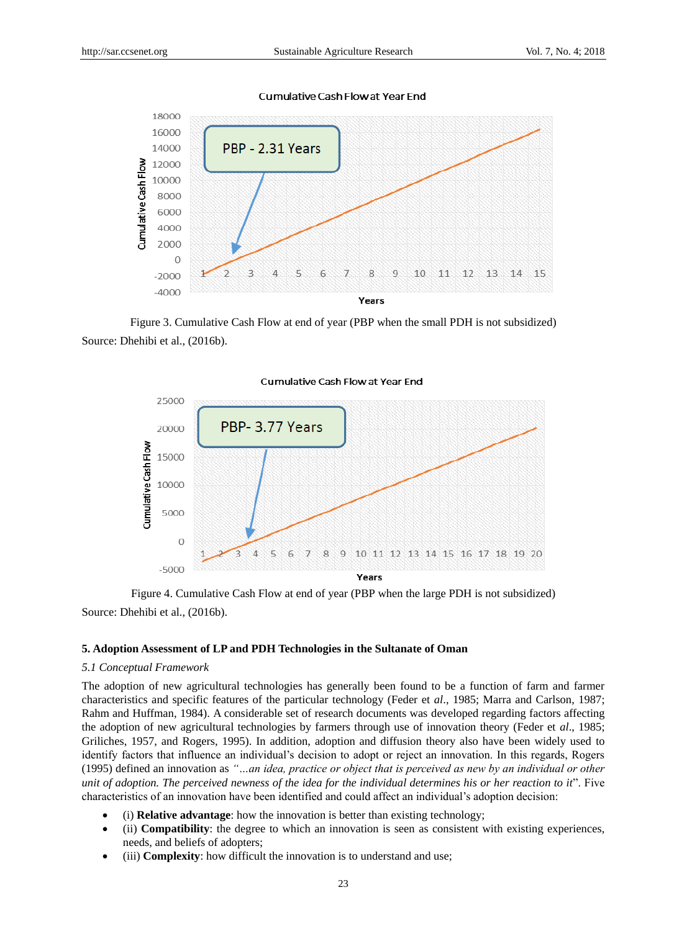**Cumulative Cash Flow at Year End** 



Figure 3. Cumulative Cash Flow at end of year (PBP when the small PDH is not subsidized)

Source: Dhehibi et al., (2016b).



Figure 4. Cumulative Cash Flow at end of year (PBP when the large PDH is not subsidized) Source: Dhehibi et al., (2016b).

#### **5. Adoption Assessment of LP and PDH Technologies in the Sultanate of Oman**

#### *5.1 Conceptual Framework*

The adoption of new agricultural technologies has generally been found to be a function of farm and farmer characteristics and specific features of the particular technology (Feder et *al*., 1985; Marra and Carlson, 1987; Rahm and Huffman, 1984). A considerable set of research documents was developed regarding factors affecting the adoption of new agricultural technologies by farmers through use of innovation theory (Feder et *al*., 1985; Griliches, 1957, and Rogers, 1995). In addition, adoption and diffusion theory also have been widely used to identify factors that influence an individual's decision to adopt or reject an innovation. In this regards, Rogers (1995) defined an innovation as *"…an idea, practice or object that is perceived as new by an individual or other unit of adoption. The perceived newness of the idea for the individual determines his or her reaction to it*". Five characteristics of an innovation have been identified and could affect an individual's adoption decision:

- (i) **Relative advantage**: how the innovation is better than existing technology;
- (ii) **Compatibility**: the degree to which an innovation is seen as consistent with existing experiences, needs, and beliefs of adopters;
- (iii) **Complexity**: how difficult the innovation is to understand and use;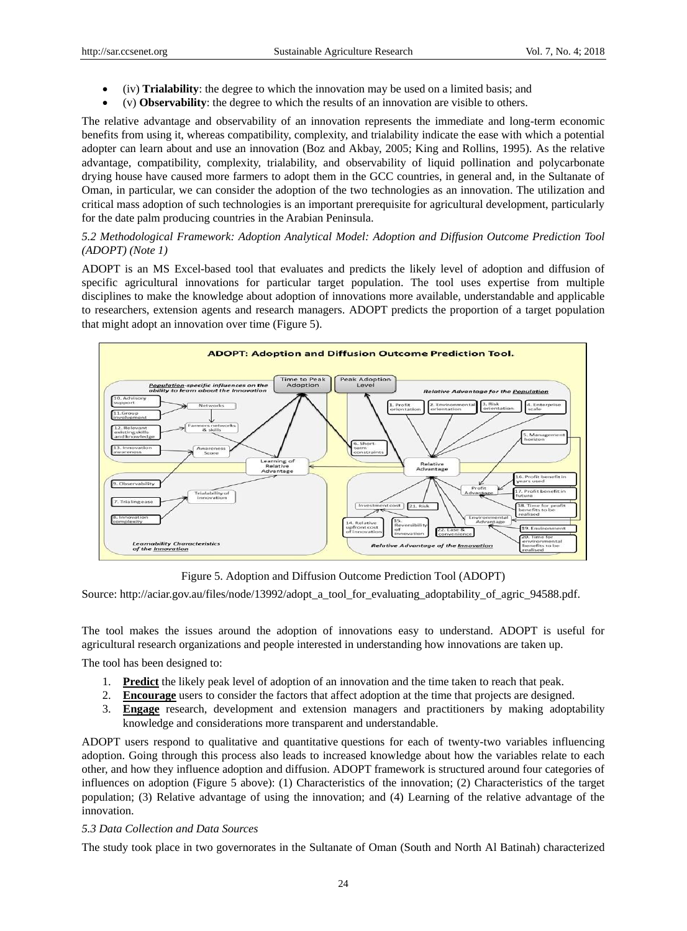- (iv) **Trialability**: the degree to which the innovation may be used on a limited basis; and
- (v) **Observability**: the degree to which the results of an innovation are visible to others.

The relative advantage and observability of an innovation represents the immediate and long-term economic benefits from using it, whereas compatibility, complexity, and trialability indicate the ease with which a potential adopter can learn about and use an innovation (Boz and Akbay, 2005; King and Rollins, 1995). As the relative advantage, compatibility, complexity, trialability, and observability of liquid pollination and polycarbonate drying house have caused more farmers to adopt them in the GCC countries, in general and, in the Sultanate of Oman, in particular, we can consider the adoption of the two technologies as an innovation. The utilization and critical mass adoption of such technologies is an important prerequisite for agricultural development, particularly for the date palm producing countries in the Arabian Peninsula.

# *5.2 Methodological Framework: Adoption Analytical Model: Adoption and Diffusion Outcome Prediction Tool (ADOPT) (Note 1)*

ADOPT is an MS Excel-based tool that evaluates and predicts the likely level of adoption and diffusion of specific agricultural innovations for particular target population. The tool uses expertise from multiple disciplines to make the knowledge about adoption of innovations more available, understandable and applicable to researchers, extension agents and research managers. ADOPT predicts the proportion of a target population that might adopt an innovation over time (Figure 5).



Figure 5. Adoption and Diffusion Outcome Prediction Tool (ADOPT)

Source: http://aciar.gov.au/files/node/13992/adopt\_a\_tool\_for\_evaluating\_adoptability\_of\_agric\_94588.pdf.

The tool makes the issues around the adoption of innovations easy to understand. ADOPT is useful for agricultural research organizations and people interested in understanding how innovations are taken up.

The tool has been designed to:

- 1. **Predict** the likely peak level of adoption of an innovation and the time taken to reach that peak.
- 2. **Encourage** users to consider the factors that affect adoption at the time that projects are designed.
- 3. **Engage** research, development and extension managers and practitioners by making adoptability knowledge and considerations more transparent and understandable.

ADOPT users respond to qualitative and quantitative questions for each of twenty-two variables influencing adoption. Going through this process also leads to increased knowledge about how the variables relate to each other, and how they influence adoption and diffusion. ADOPT framework is structured around four categories of influences on adoption (Figure 5 above): (1) Characteristics of the innovation; (2) Characteristics of the target population; (3) Relative advantage of using the innovation; and (4) Learning of the relative advantage of the innovation.

## *5.3 Data Collection and Data Sources*

The study took place in two governorates in the Sultanate of Oman (South and North Al Batinah) characterized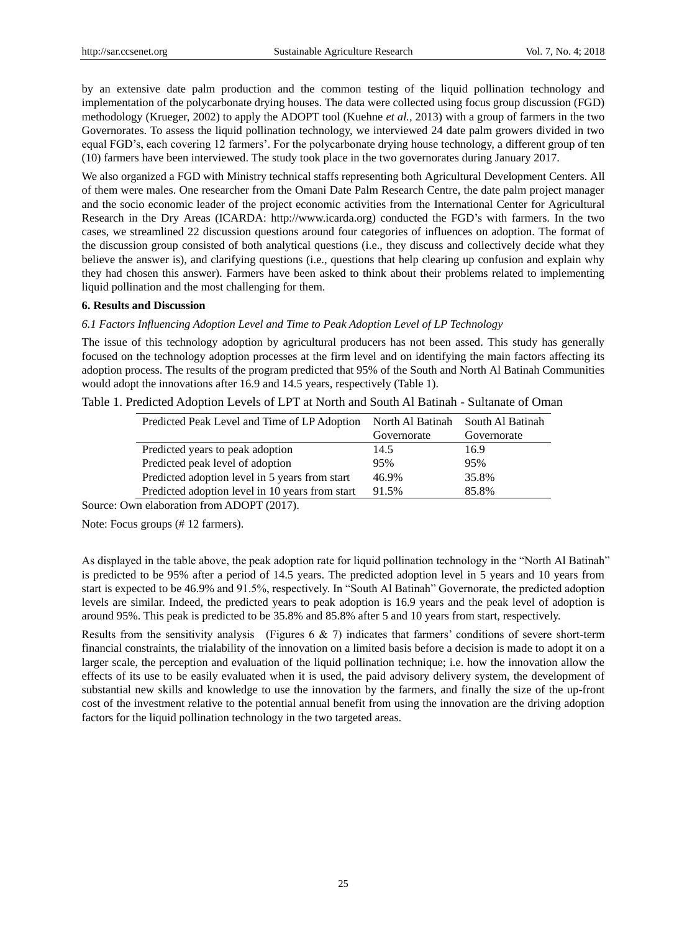by an extensive date palm production and the common testing of the liquid pollination technology and implementation of the polycarbonate drying houses. The data were collected using focus group discussion (FGD) methodology (Krueger, 2002) to apply the ADOPT tool (Kuehne *et al.,* 2013) with a group of farmers in the two Governorates. To assess the liquid pollination technology, we interviewed 24 date palm growers divided in two equal FGD's, each covering 12 farmers'. For the polycarbonate drying house technology, a different group of ten (10) farmers have been interviewed. The study took place in the two governorates during January 2017.

We also organized a FGD with Ministry technical staffs representing both Agricultural Development Centers. All of them were males. One researcher from the Omani Date Palm Research Centre, the date palm project manager and the socio economic leader of the project economic activities from the International Center for Agricultural Research in the Dry Areas (ICARDA: http://www.icarda.org) conducted the FGD's with farmers. In the two cases, we streamlined 22 discussion questions around four categories of influences on adoption. The format of the discussion group consisted of both analytical questions (i.e., they discuss and collectively decide what they believe the answer is), and clarifying questions (i.e., questions that help clearing up confusion and explain why they had chosen this answer). Farmers have been asked to think about their problems related to implementing liquid pollination and the most challenging for them.

## **6. Results and Discussion**

# *6.1 Factors Influencing Adoption Level and Time to Peak Adoption Level of LP Technology*

The issue of this technology adoption by agricultural producers has not been assed. This study has generally focused on the technology adoption processes at the firm level and on identifying the main factors affecting its adoption process. The results of the program predicted that 95% of the South and North Al Batinah Communities would adopt the innovations after 16.9 and 14.5 years, respectively (Table 1).

| Predicted Peak Level and Time of LP Adoption    | North Al Batinah | South Al Batinah |
|-------------------------------------------------|------------------|------------------|
|                                                 | Governorate      | Governorate      |
| Predicted years to peak adoption                | 14.5             | 16.9             |
| Predicted peak level of adoption                | 95%              | 95%              |
| Predicted adoption level in 5 years from start  | 46.9%            | 35.8%            |
| Predicted adoption level in 10 years from start | 91.5%            | 85.8%            |

Table 1. Predicted Adoption Levels of LPT at North and South Al Batinah - Sultanate of Oman

Source: Own elaboration from ADOPT (2017).

Note: Focus groups (# 12 farmers).

As displayed in the table above, the peak adoption rate for liquid pollination technology in the "North Al Batinah" is predicted to be 95% after a period of 14.5 years. The predicted adoption level in 5 years and 10 years from start is expected to be 46.9% and 91.5%, respectively. In "South Al Batinah" Governorate, the predicted adoption levels are similar. Indeed, the predicted years to peak adoption is 16.9 years and the peak level of adoption is around 95%. This peak is predicted to be 35.8% and 85.8% after 5 and 10 years from start, respectively.

Results from the sensitivity analysis (Figures 6  $\&$  7) indicates that farmers' conditions of severe short-term financial constraints, the trialability of the innovation on a limited basis before a decision is made to adopt it on a larger scale, the perception and evaluation of the liquid pollination technique; i.e. how the innovation allow the effects of its use to be easily evaluated when it is used, the paid advisory delivery system, the development of substantial new skills and knowledge to use the innovation by the farmers, and finally the size of the up-front cost of the investment relative to the potential annual benefit from using the innovation are the driving adoption factors for the liquid pollination technology in the two targeted areas.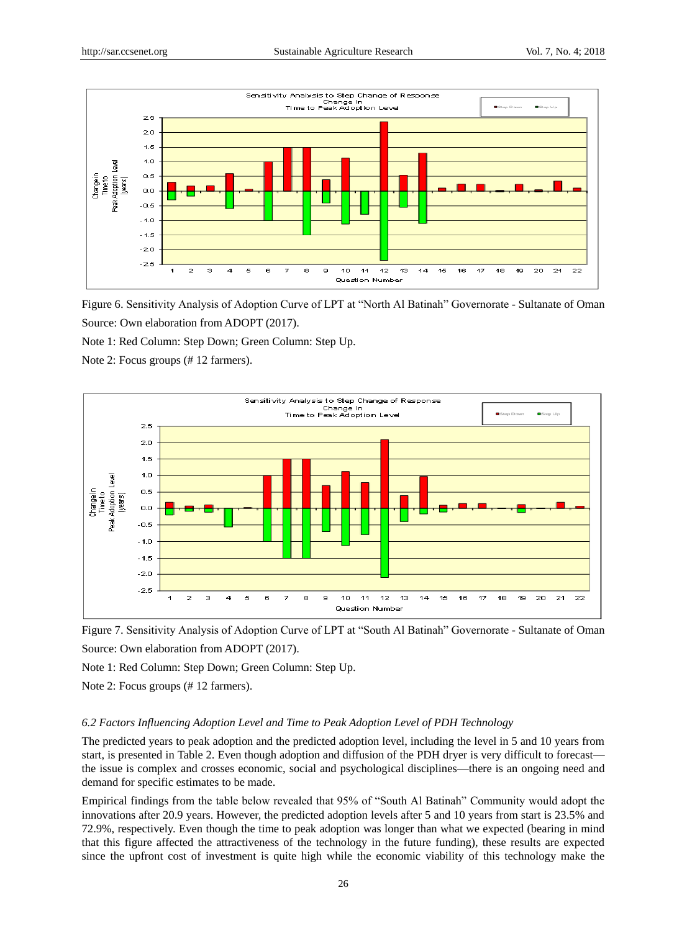

Figure 6. Sensitivity Analysis of Adoption Curve of LPT at "North Al Batinah" Governorate - Sultanate of Oman Source: Own elaboration from ADOPT (2017).

Note 1: Red Column: Step Down; Green Column: Step Up.

Note 2: Focus groups (# 12 farmers).



Figure 7. Sensitivity Analysis of Adoption Curve of LPT at "South Al Batinah" Governorate - Sultanate of Oman Source: Own elaboration from ADOPT (2017).

Note 1: Red Column: Step Down; Green Column: Step Up.

Note 2: Focus groups (# 12 farmers).

#### *6.2 Factors Influencing Adoption Level and Time to Peak Adoption Level of PDH Technology*

The predicted years to peak adoption and the predicted adoption level, including the level in 5 and 10 years from start, is presented in Table 2. Even though adoption and diffusion of the PDH dryer is very difficult to forecast the issue is complex and crosses economic, social and psychological disciplines—there is an ongoing need and demand for specific estimates to be made.

Empirical findings from the table below revealed that 95% of "South Al Batinah" Community would adopt the innovations after 20.9 years. However, the predicted adoption levels after 5 and 10 years from start is 23.5% and 72.9%, respectively. Even though the time to peak adoption was longer than what we expected (bearing in mind that this figure affected the attractiveness of the technology in the future funding), these results are expected since the upfront cost of investment is quite high while the economic viability of this technology make the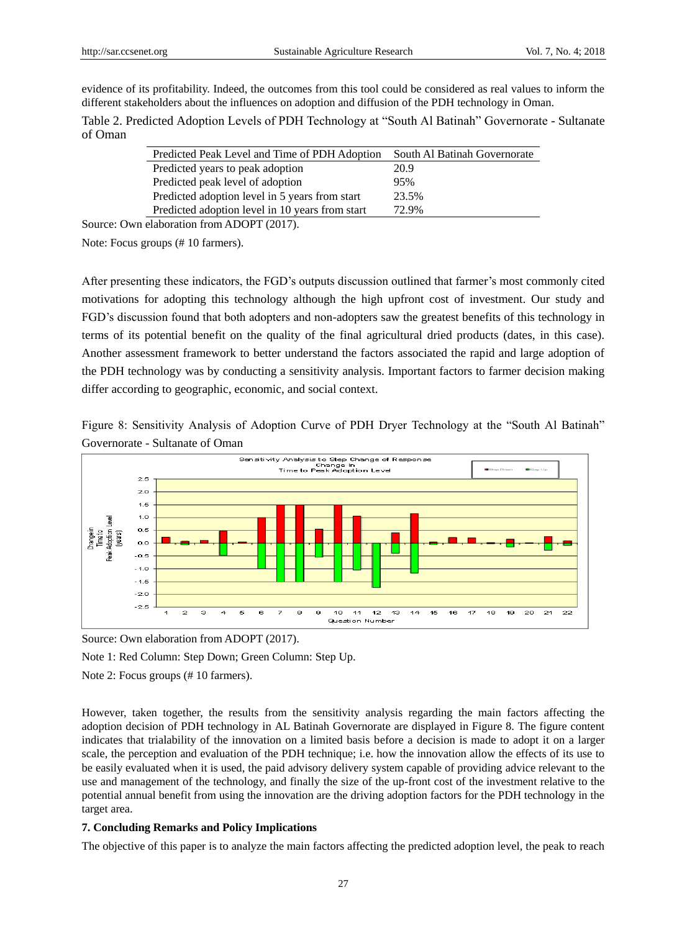evidence of its profitability. Indeed, the outcomes from this tool could be considered as real values to inform the different stakeholders about the influences on adoption and diffusion of the PDH technology in Oman.

Table 2. Predicted Adoption Levels of PDH Technology at "South Al Batinah" Governorate - Sultanate of Oman

| Predicted Peak Level and Time of PDH Adoption   | South Al Batinah Governorate |
|-------------------------------------------------|------------------------------|
| Predicted years to peak adoption                | 20.9                         |
| Predicted peak level of adoption                | 95%                          |
| Predicted adoption level in 5 years from start  | 23.5%                        |
| Predicted adoption level in 10 years from start | 72.9%                        |
|                                                 |                              |

Source: Own elaboration from ADOPT (2017).

Note: Focus groups (# 10 farmers).

After presenting these indicators, the FGD's outputs discussion outlined that farmer's most commonly cited motivations for adopting this technology although the high upfront cost of investment. Our study and FGD's discussion found that both adopters and non-adopters saw the greatest benefits of this technology in terms of its potential benefit on the quality of the final agricultural dried products (dates, in this case). Another assessment framework to better understand the factors associated the rapid and large adoption of the PDH technology was by conducting a sensitivity analysis. Important factors to farmer decision making differ according to geographic, economic, and social context.

Figure 8: Sensitivity Analysis of Adoption Curve of PDH Dryer Technology at the "South Al Batinah" Governorate - Sultanate of Oman



Source: Own elaboration from ADOPT (2017).

Note 1: Red Column: Step Down; Green Column: Step Up.

Note 2: Focus groups (# 10 farmers).

However, taken together, the results from the sensitivity analysis regarding the main factors affecting the adoption decision of PDH technology in AL Batinah Governorate are displayed in Figure 8. The figure content indicates that trialability of the innovation on a limited basis before a decision is made to adopt it on a larger scale, the perception and evaluation of the PDH technique; i.e. how the innovation allow the effects of its use to be easily evaluated when it is used, the paid advisory delivery system capable of providing advice relevant to the use and management of the technology, and finally the size of the up-front cost of the investment relative to the potential annual benefit from using the innovation are the driving adoption factors for the PDH technology in the target area.

#### **7. Concluding Remarks and Policy Implications**

The objective of this paper is to analyze the main factors affecting the predicted adoption level, the peak to reach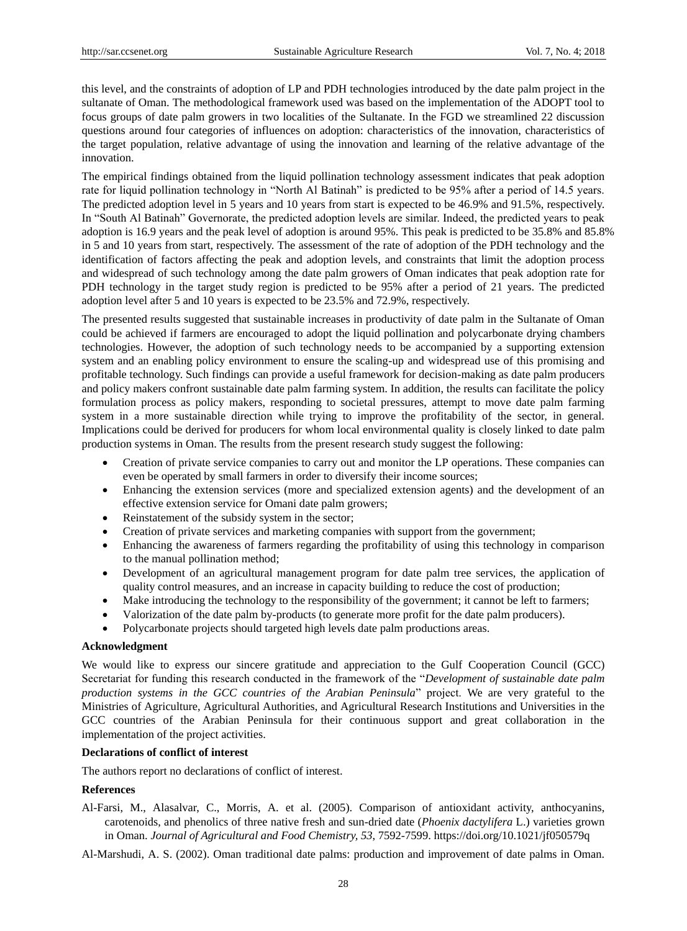this level, and the constraints of adoption of LP and PDH technologies introduced by the date palm project in the sultanate of Oman. The methodological framework used was based on the implementation of the ADOPT tool to focus groups of date palm growers in two localities of the Sultanate. In the FGD we streamlined 22 discussion questions around four categories of influences on adoption: characteristics of the innovation, characteristics of the target population, relative advantage of using the innovation and learning of the relative advantage of the innovation.

The empirical findings obtained from the liquid pollination technology assessment indicates that peak adoption rate for liquid pollination technology in "North Al Batinah" is predicted to be 95% after a period of 14.5 years. The predicted adoption level in 5 years and 10 years from start is expected to be 46.9% and 91.5%, respectively. In "South Al Batinah" Governorate, the predicted adoption levels are similar. Indeed, the predicted years to peak adoption is 16.9 years and the peak level of adoption is around 95%. This peak is predicted to be 35.8% and 85.8% in 5 and 10 years from start, respectively. The assessment of the rate of adoption of the PDH technology and the identification of factors affecting the peak and adoption levels, and constraints that limit the adoption process and widespread of such technology among the date palm growers of Oman indicates that peak adoption rate for PDH technology in the target study region is predicted to be 95% after a period of 21 years. The predicted adoption level after 5 and 10 years is expected to be 23.5% and 72.9%, respectively.

The presented results suggested that sustainable increases in productivity of date palm in the Sultanate of Oman could be achieved if farmers are encouraged to adopt the liquid pollination and polycarbonate drying chambers technologies. However, the adoption of such technology needs to be accompanied by a supporting extension system and an enabling policy environment to ensure the scaling-up and widespread use of this promising and profitable technology. Such findings can provide a useful framework for decision-making as date palm producers and policy makers confront sustainable date palm farming system. In addition, the results can facilitate the policy formulation process as policy makers, responding to societal pressures, attempt to move date palm farming system in a more sustainable direction while trying to improve the profitability of the sector, in general. Implications could be derived for producers for whom local environmental quality is closely linked to date palm production systems in Oman. The results from the present research study suggest the following:

- Creation of private service companies to carry out and monitor the LP operations. These companies can even be operated by small farmers in order to diversify their income sources;
- Enhancing the extension services (more and specialized extension agents) and the development of an effective extension service for Omani date palm growers;
- Reinstatement of the subsidy system in the sector;
- Creation of private services and marketing companies with support from the government;
- Enhancing the awareness of farmers regarding the profitability of using this technology in comparison to the manual pollination method;
- Development of an agricultural management program for date palm tree services, the application of quality control measures, and an increase in capacity building to reduce the cost of production;
- Make introducing the technology to the responsibility of the government; it cannot be left to farmers;
- Valorization of the date palm by-products (to generate more profit for the date palm producers).
- Polycarbonate projects should targeted high levels date palm productions areas.

#### **Acknowledgment**

We would like to express our sincere gratitude and appreciation to the Gulf Cooperation Council (GCC) Secretariat for funding this research conducted in the framework of the "*Development of sustainable date palm production systems in the GCC countries of the Arabian Peninsula*" project. We are very grateful to the Ministries of Agriculture, Agricultural Authorities, and Agricultural Research Institutions and Universities in the GCC countries of the Arabian Peninsula for their continuous support and great collaboration in the implementation of the project activities.

#### **Declarations of conflict of interest**

The authors report no declarations of conflict of interest.

## **References**

Al-Farsi, M., Alasalvar, C., Morris, A. et al. (2005). Comparison of antioxidant activity, anthocyanins, carotenoids, and phenolics of three native fresh and sun-dried date (*Phoenix dactylifera* L.) varieties grown in Oman. *Journal of Agricultural and Food Chemistry, 53*, 7592-7599. https://doi.org/10.1021/jf050579q

Al-Marshudi, A. S. (2002). Oman traditional date palms: production and improvement of date palms in Oman.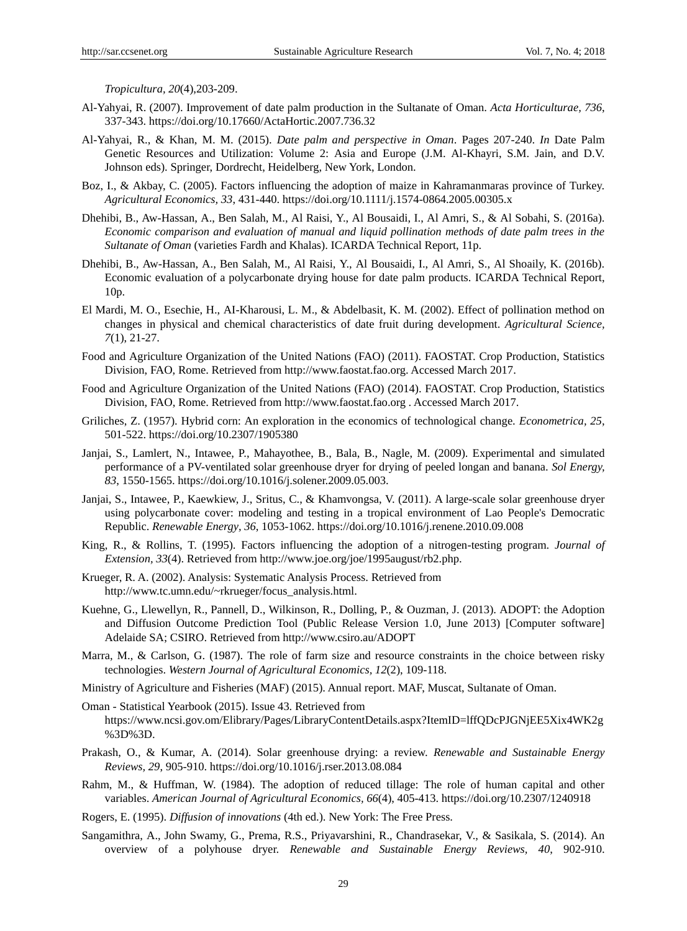*Tropicultura, 20*(4),203-209.

- Al-Yahyai, R. (2007). Improvement of date palm production in the Sultanate of Oman. *Acta Horticulturae, 736*, 337-343. https://doi.org/10.17660/ActaHortic.2007.736.32
- Al-Yahyai, R., & Khan, M. M. (2015). *Date palm and perspective in Oman*. Pages 207-240. *In* Date Palm Genetic Resources and Utilization: Volume 2: Asia and Europe (J.M. Al-Khayri, S.M. Jain, and D.V. Johnson eds). Springer, Dordrecht, Heidelberg, New York, London.
- Boz, I., & Akbay, C. (2005). Factors influencing the adoption of maize in Kahramanmaras province of Turkey. *Agricultural Economics, 33*, 431-440. https://doi.org/10.1111/j.1574-0864.2005.00305.x
- Dhehibi, B., Aw-Hassan, A., Ben Salah, M., Al Raisi, Y., Al Bousaidi, I., Al Amri, S., & Al Sobahi, S. (2016a). *Economic comparison and evaluation of manual and liquid pollination methods of date palm trees in the Sultanate of Oman* (varieties Fardh and Khalas). ICARDA Technical Report, 11p.
- Dhehibi, B., Aw-Hassan, A., Ben Salah, M., Al Raisi, Y., Al Bousaidi, I., Al Amri, S., Al Shoaily, K. (2016b). Economic evaluation of a polycarbonate drying house for date palm products. ICARDA Technical Report, 10p.
- El Mardi, M. O., Esechie, H., AI-Kharousi, L. M., & Abdelbasit, K. M. (2002). Effect of pollination method on changes in physical and chemical characteristics of date fruit during development. *Agricultural Science, 7*(1), 21-27.
- Food and Agriculture Organization of the United Nations (FAO) (2011). FAOSTAT. Crop Production, Statistics Division, FAO, Rome. Retrieved from http://www.faostat.fao.org. Accessed March 2017.
- Food and Agriculture Organization of the United Nations (FAO) (2014). FAOSTAT. Crop Production, Statistics Division, FAO, Rome. Retrieved from http://www.faostat.fao.org . Accessed March 2017.
- Griliches, Z. (1957). Hybrid corn: An exploration in the economics of technological change. *Econometrica, 25*, 501-522. https://doi.org/10.2307/1905380
- Janjai, S., Lamlert, N., Intawee, P., Mahayothee, B., Bala, B., Nagle, M. (2009). Experimental and simulated performance of a PV-ventilated solar greenhouse dryer for drying of peeled longan and banana. *Sol Energy, 83*, 1550-1565. https://doi.org/10.1016/j.solener.2009.05.003.
- Janjai, S., Intawee, P., Kaewkiew, J., Sritus, C., & Khamvongsa, V. (2011). A large-scale solar greenhouse dryer using polycarbonate cover: modeling and testing in a tropical environment of Lao People's Democratic Republic. *Renewable Energy, 36*, 1053-1062. https://doi.org/10.1016/j.renene.2010.09.008
- King, R., & Rollins, T. (1995). Factors influencing the adoption of a nitrogen-testing program. *Journal of Extension, 33*(4). Retrieved from http://www.joe.org/joe/1995august/rb2.php.
- Krueger, R. A. (2002). Analysis: Systematic Analysis Process. Retrieved from http://www.tc.umn.edu/~rkrueger/focus\_analysis.html.
- Kuehne, G., Llewellyn, R., Pannell, D., Wilkinson, R., Dolling, P., & Ouzman, J. (2013). ADOPT: the Adoption and Diffusion Outcome Prediction Tool (Public Release Version 1.0, June 2013) [Computer software] Adelaide SA; CSIRO. Retrieved from http://www.csiro.au/ADOPT
- Marra, M., & Carlson, G. (1987). The role of farm size and resource constraints in the choice between risky technologies. *Western Journal of Agricultural Economics, 12*(2), 109-118.
- Ministry of Agriculture and Fisheries (MAF) (2015). Annual report. MAF, Muscat, Sultanate of Oman.
- Oman Statistical Yearbook (2015). Issue 43. Retrieved from https://www.ncsi.gov.om/Elibrary/Pages/LibraryContentDetails.aspx?ItemID=lffQDcPJGNjEE5Xix4WK2g %3D%3D.
- Prakash, O., & Kumar, A. (2014). Solar greenhouse drying: a review. *Renewable and Sustainable Energy Reviews, 29*, 905-910. https://doi.org/10.1016/j.rser.2013.08.084
- Rahm, M., & Huffman, W. (1984). The adoption of reduced tillage: The role of human capital and other variables. *American Journal of Agricultural Economics, 66*(4), 405-413. https://doi.org/10.2307/1240918
- Rogers, E. (1995). *Diffusion of innovations* (4th ed.). New York: The Free Press.
- Sangamithra, A., John Swamy, G., Prema, R.S., Priyavarshini, R., Chandrasekar, V., & Sasikala, S. (2014). An overview of a polyhouse dryer. *Renewable and Sustainable Energy Reviews, 40*, 902-910.